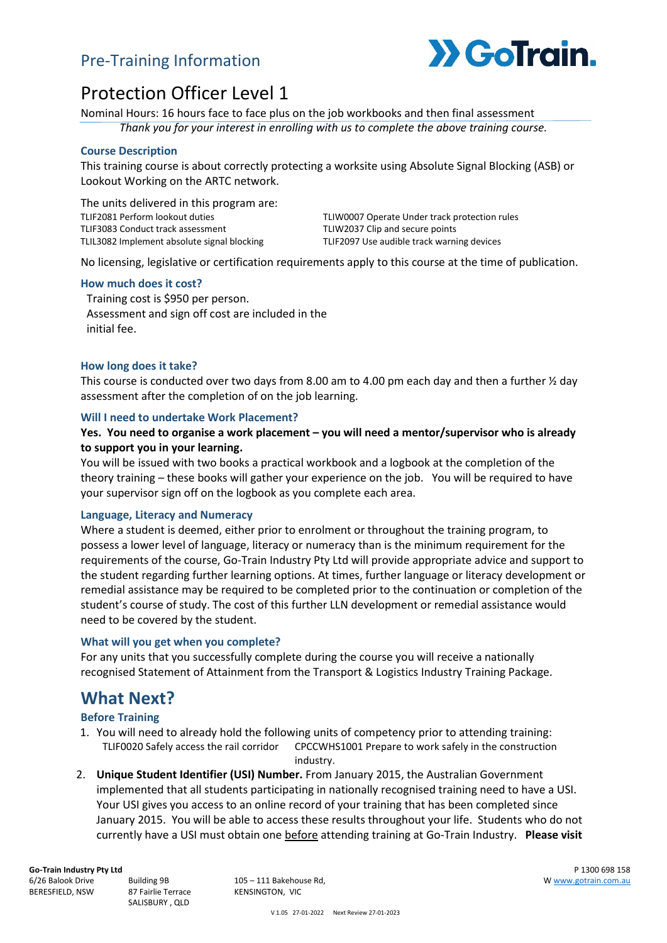### Pre-Training Information



# Protection Officer Level 1

Nominal Hours: 16 hours face to face plus on the job workbooks and then final assessment

*Thank you for your interest in enrolling with us to complete the above training course.*

#### **Course Description**

This training course is about correctly protecting a worksite using Absolute Signal Blocking (ASB) or Lookout Working on the ARTC network.

The units delivered in this program are: TLIF2081 Perform lookout duties TLIF3083 Conduct track assessment TLIL3082 Implement absolute signal blocking

TLIW0007 Operate Under track protection rules TLIW2037 Clip and secure points TLIF2097 Use audible track warning devices

No licensing, legislative or certification requirements apply to this course at the time of publication.

#### **How much does it cost?**

Training cost is \$950 per person. Assessment and sign off cost are included in the initial fee.

#### **How long does it take?**

This course is conducted over two days from 8.00 am to 4.00 pm each day and then a further  $\frac{1}{2}$  day assessment after the completion of on the job learning.

#### **Will I need to undertake Work Placement?**

#### **Yes. You need to organise a work placement – you will need a mentor/supervisor who is already to support you in your learning.**

You will be issued with two books a practical workbook and a logbook at the completion of the theory training – these books will gather your experience on the job. You will be required to have your supervisor sign off on the logbook as you complete each area.

#### **Language, Literacy and Numeracy**

Where a student is deemed, either prior to enrolment or throughout the training program, to possess a lower level of language, literacy or numeracy than is the minimum requirement for the requirements of the course, Go-Train Industry Pty Ltd will provide appropriate advice and support to the student regarding further learning options. At times, further language or literacy development or remedial assistance may be required to be completed prior to the continuation or completion of the student's course of study. The cost of this further LLN development or remedial assistance would need to be covered by the student.

#### **What will you get when you complete?**

For any units that you successfully complete during the course you will receive a nationally recognised Statement of Attainment from the Transport & Logistics Industry Training Package.

### **What Next?**

#### **Before Training**

- 1. You will need to already hold the following units of competency prior to attending training: TLIF0020 Safely access the rail corridor CPCCWHS1001 Prepare to work safely in the construction industry.
- 2. **Unique Student Identifier (USI) Number.** From January 2015, the Australian Government implemented that all students participating in nationally recognised training need to have a USI. Your USI gives you access to an online record of your training that has been completed since January 2015. You will be able to access these results throughout your life. Students who do not currently have a USI must obtain one before attending training at Go-Train Industry. **Please visit**

**Go-Train Industry Pty Ltd** 6/26 Balook Drive

BERESFIELD, NSW

Building 9B 87 Fairlie Terrace SALISBURY , QLD

105 – 111 Bakehouse Rd, KENSINGTON, VIC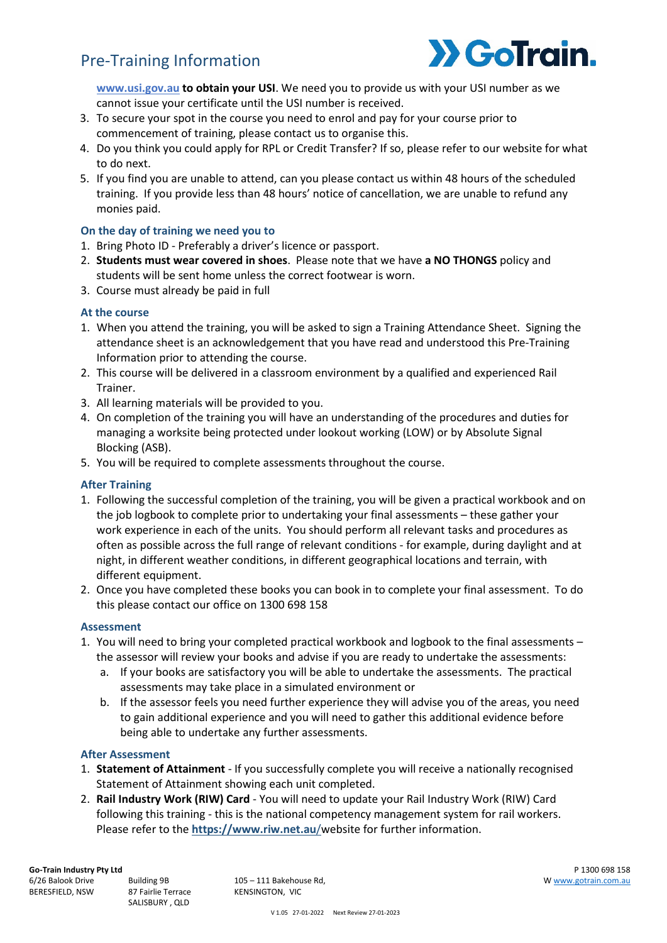## Pre-Training Information



**[www.usi.gov.au](http://www.usi.gov.au/) to obtain your USI**. We need you to provide us with your USI number as we cannot issue your certificate until the USI number is received.

- 3. To secure your spot in the course you need to enrol and pay for your course prior to commencement of training, please contact us to organise this.
- 4. Do you think you could apply for RPL or Credit Transfer? If so, please refer to our website for what to do next.
- 5. If you find you are unable to attend, can you please contact us within 48 hours of the scheduled training. If you provide less than 48 hours' notice of cancellation, we are unable to refund any monies paid.

#### **On the day of training we need you to**

- 1. Bring Photo ID Preferably a driver's licence or passport.
- 2. **Students must wear covered in shoes**. Please note that we have **a NO THONGS** policy and students will be sent home unless the correct footwear is worn.
- 3. Course must already be paid in full

#### **At the course**

- 1. When you attend the training, you will be asked to sign a Training Attendance Sheet. Signing the attendance sheet is an acknowledgement that you have read and understood this Pre-Training Information prior to attending the course.
- 2. This course will be delivered in a classroom environment by a qualified and experienced Rail Trainer.
- 3. All learning materials will be provided to you.
- 4. On completion of the training you will have an understanding of the procedures and duties for managing a worksite being protected under lookout working (LOW) or by Absolute Signal Blocking (ASB).
- 5. You will be required to complete assessments throughout the course.

#### **After Training**

- 1. Following the successful completion of the training, you will be given a practical workbook and on the job logbook to complete prior to undertaking your final assessments – these gather your work experience in each of the units. You should perform all relevant tasks and procedures as often as possible across the full range of relevant conditions - for example, during daylight and at night, in different weather conditions, in different geographical locations and terrain, with different equipment.
- 2. Once you have completed these books you can book in to complete your final assessment. To do this please contact our office on 1300 698 158

#### **Assessment**

- 1. You will need to bring your completed practical workbook and logbook to the final assessments the assessor will review your books and advise if you are ready to undertake the assessments:
	- a. If your books are satisfactory you will be able to undertake the assessments. The practical assessments may take place in a simulated environment or
	- b. If the assessor feels you need further experience they will advise you of the areas, you need to gain additional experience and you will need to gather this additional evidence before being able to undertake any further assessments.

#### **After Assessment**

- 1. **Statement of Attainment** If you successfully complete you will receive a nationally recognised Statement of Attainment showing each unit completed.
- 2. **Rail Industry Work (RIW) Card** You will need to update your Rail Industry Work (RIW) Card following this training - this is the national competency management system for rail workers. Please refer to the **[https://www.riw.net.au](https://www.riw.net.au/)**/website for further information.

BERESFIELD, NSW

105 – 111 Bakehouse Rd, KENSINGTON, VIC